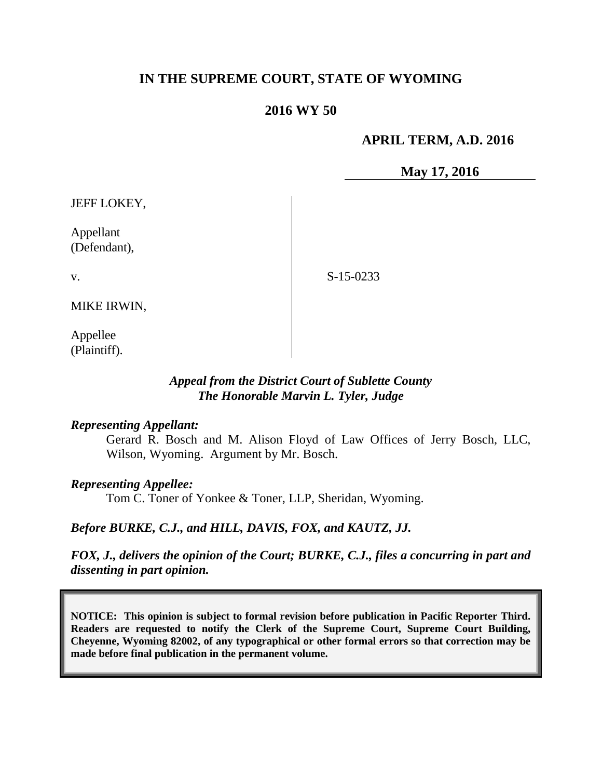# **IN THE SUPREME COURT, STATE OF WYOMING**

# **2016 WY 50**

# **APRIL TERM, A.D. 2016**

**May 17, 2016**

JEFF LOKEY,

Appellant (Defendant),

v.

S-15-0233

MIKE IRWIN,

Appellee (Plaintiff).

## *Appeal from the District Court of Sublette County The Honorable Marvin L. Tyler, Judge*

#### *Representing Appellant:*

Gerard R. Bosch and M. Alison Floyd of Law Offices of Jerry Bosch, LLC, Wilson, Wyoming. Argument by Mr. Bosch.

## *Representing Appellee:*

Tom C. Toner of Yonkee & Toner, LLP, Sheridan, Wyoming.

*Before BURKE, C.J., and HILL, DAVIS, FOX, and KAUTZ, JJ.*

*FOX, J., delivers the opinion of the Court; BURKE, C.J., files a concurring in part and dissenting in part opinion.*

**NOTICE: This opinion is subject to formal revision before publication in Pacific Reporter Third. Readers are requested to notify the Clerk of the Supreme Court, Supreme Court Building, Cheyenne, Wyoming 82002, of any typographical or other formal errors so that correction may be made before final publication in the permanent volume.**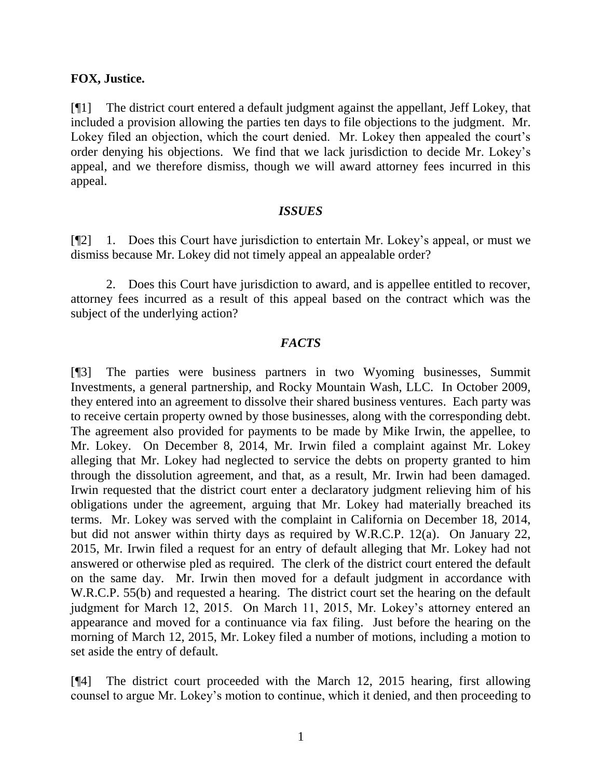### **FOX, Justice.**

[¶1] The district court entered a default judgment against the appellant, Jeff Lokey, that included a provision allowing the parties ten days to file objections to the judgment. Mr. Lokey filed an objection, which the court denied. Mr. Lokey then appealed the court's order denying his objections. We find that we lack jurisdiction to decide Mr. Lokey's appeal, and we therefore dismiss, though we will award attorney fees incurred in this appeal.

#### *ISSUES*

[¶2] 1. Does this Court have jurisdiction to entertain Mr. Lokey's appeal, or must we dismiss because Mr. Lokey did not timely appeal an appealable order?

2. Does this Court have jurisdiction to award, and is appellee entitled to recover, attorney fees incurred as a result of this appeal based on the contract which was the subject of the underlying action?

### *FACTS*

[¶3] The parties were business partners in two Wyoming businesses, Summit Investments, a general partnership, and Rocky Mountain Wash, LLC. In October 2009, they entered into an agreement to dissolve their shared business ventures. Each party was to receive certain property owned by those businesses, along with the corresponding debt. The agreement also provided for payments to be made by Mike Irwin, the appellee, to Mr. Lokey. On December 8, 2014, Mr. Irwin filed a complaint against Mr. Lokey alleging that Mr. Lokey had neglected to service the debts on property granted to him through the dissolution agreement, and that, as a result, Mr. Irwin had been damaged. Irwin requested that the district court enter a declaratory judgment relieving him of his obligations under the agreement, arguing that Mr. Lokey had materially breached its terms. Mr. Lokey was served with the complaint in California on December 18, 2014, but did not answer within thirty days as required by W.R.C.P. 12(a). On January 22, 2015, Mr. Irwin filed a request for an entry of default alleging that Mr. Lokey had not answered or otherwise pled as required. The clerk of the district court entered the default on the same day. Mr. Irwin then moved for a default judgment in accordance with W.R.C.P. 55(b) and requested a hearing. The district court set the hearing on the default judgment for March 12, 2015. On March 11, 2015, Mr. Lokey's attorney entered an appearance and moved for a continuance via fax filing. Just before the hearing on the morning of March 12, 2015, Mr. Lokey filed a number of motions, including a motion to set aside the entry of default.

[¶4] The district court proceeded with the March 12, 2015 hearing, first allowing counsel to argue Mr. Lokey's motion to continue, which it denied, and then proceeding to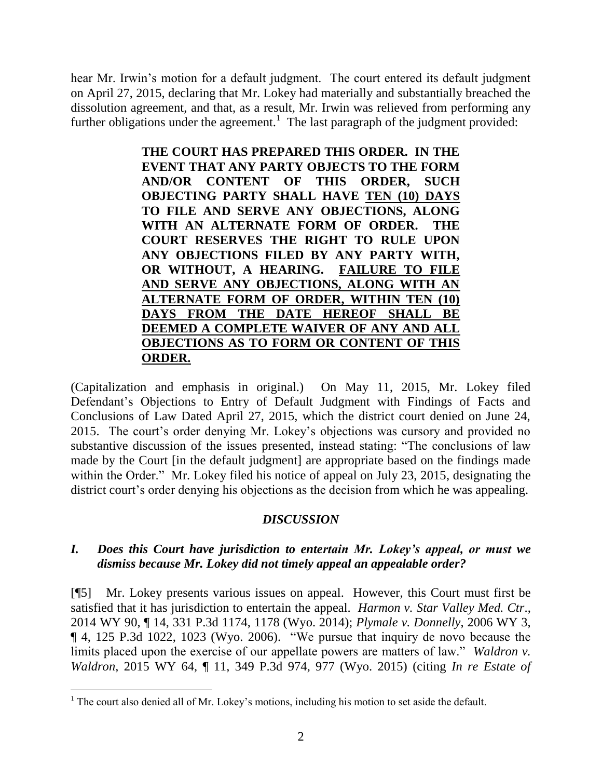hear Mr. Irwin's motion for a default judgment. The court entered its default judgment on April 27, 2015, declaring that Mr. Lokey had materially and substantially breached the dissolution agreement, and that, as a result, Mr. Irwin was relieved from performing any further obligations under the agreement.<sup>1</sup> The last paragraph of the judgment provided:

> **THE COURT HAS PREPARED THIS ORDER. IN THE EVENT THAT ANY PARTY OBJECTS TO THE FORM AND/OR CONTENT OF THIS ORDER, SUCH OBJECTING PARTY SHALL HAVE TEN (10) DAYS TO FILE AND SERVE ANY OBJECTIONS, ALONG WITH AN ALTERNATE FORM OF ORDER. THE COURT RESERVES THE RIGHT TO RULE UPON ANY OBJECTIONS FILED BY ANY PARTY WITH, OR WITHOUT, A HEARING. FAILURE TO FILE AND SERVE ANY OBJECTIONS, ALONG WITH AN ALTERNATE FORM OF ORDER, WITHIN TEN (10) DAYS FROM THE DATE HEREOF SHALL BE DEEMED A COMPLETE WAIVER OF ANY AND ALL OBJECTIONS AS TO FORM OR CONTENT OF THIS ORDER.**

(Capitalization and emphasis in original.) On May 11, 2015, Mr. Lokey filed Defendant's Objections to Entry of Default Judgment with Findings of Facts and Conclusions of Law Dated April 27, 2015, which the district court denied on June 24, 2015. The court's order denying Mr. Lokey's objections was cursory and provided no substantive discussion of the issues presented, instead stating: "The conclusions of law made by the Court [in the default judgment] are appropriate based on the findings made within the Order." Mr. Lokey filed his notice of appeal on July 23, 2015, designating the district court's order denying his objections as the decision from which he was appealing.

### *DISCUSSION*

# *I. Does this Court have jurisdiction to entertain Mr. Lokey's appeal, or must we dismiss because Mr. Lokey did not timely appeal an appealable order?*

[¶5] Mr. Lokey presents various issues on appeal. However, this Court must first be satisfied that it has jurisdiction to entertain the appeal. *Harmon v. Star Valley Med. Ctr*., 2014 WY 90, ¶ 14, 331 P.3d 1174, 1178 (Wyo. 2014); *Plymale v. Donnelly*, 2006 WY 3, ¶ 4, 125 P.3d 1022, 1023 (Wyo. 2006). "We pursue that inquiry de novo because the limits placed upon the exercise of our appellate powers are matters of law." *Waldron v. Waldron*, 2015 WY 64, ¶ 11, 349 P.3d 974, 977 (Wyo. 2015) (citing *In re Estate of* 

 $<sup>1</sup>$  The court also denied all of Mr. Lokey's motions, including his motion to set aside the default.</sup>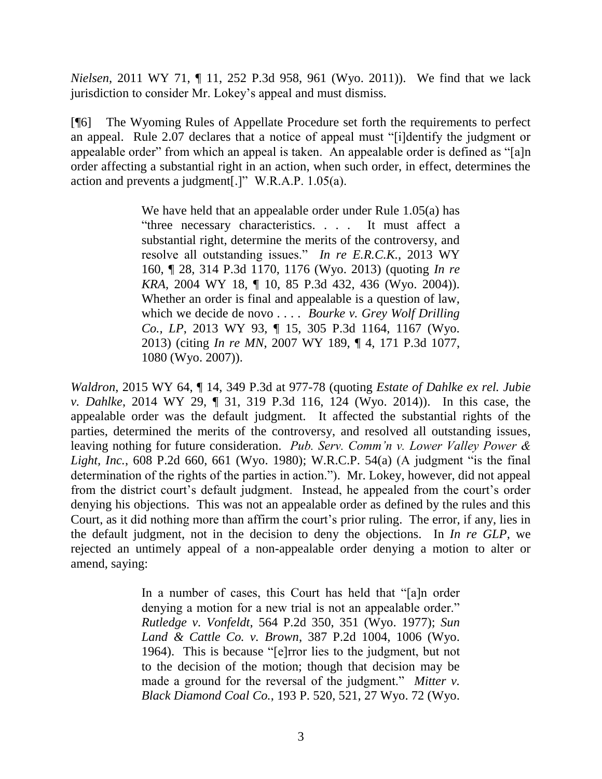*Nielsen*, 2011 WY 71, ¶ 11, 252 P.3d 958, 961 (Wyo. 2011)). We find that we lack jurisdiction to consider Mr. Lokey's appeal and must dismiss.

[¶6] The Wyoming Rules of Appellate Procedure set forth the requirements to perfect an appeal. Rule 2.07 declares that a notice of appeal must "[i]dentify the judgment or appealable order" from which an appeal is taken. An appealable order is defined as "[a]n order affecting a substantial right in an action, when such order, in effect, determines the action and prevents a judgment[.]" W.R.A.P. 1.05(a).

> We have held that an appealable order under Rule 1.05(a) has "three necessary characteristics. . . . It must affect a substantial right, determine the merits of the controversy, and resolve all outstanding issues." *In re E.R.C.K.*, 2013 WY 160, ¶ 28, 314 P.3d 1170, 1176 (Wyo. 2013) (quoting *In re KRA*, 2004 WY 18, ¶ 10, 85 P.3d 432, 436 (Wyo. 2004)). Whether an order is final and appealable is a question of law, which we decide de novo . . . . *Bourke v. Grey Wolf Drilling Co., LP*, 2013 WY 93, ¶ 15, 305 P.3d 1164, 1167 (Wyo. 2013) (citing *In re MN*, 2007 WY 189, ¶ 4, 171 P.3d 1077, 1080 (Wyo. 2007)).

*Waldron*, 2015 WY 64, ¶ 14, 349 P.3d at 977-78 (quoting *Estate of Dahlke ex rel. Jubie v. Dahlke*, 2014 WY 29, ¶ 31, 319 P.3d 116, 124 (Wyo. 2014)). In this case, the appealable order was the default judgment. It affected the substantial rights of the parties, determined the merits of the controversy, and resolved all outstanding issues, leaving nothing for future consideration. *Pub. Serv. Comm'n v. Lower Valley Power & Light, Inc.*, 608 P.2d 660, 661 (Wyo. 1980); W.R.C.P. 54(a) (A judgment "is the final determination of the rights of the parties in action."). Mr. Lokey, however, did not appeal from the district court's default judgment. Instead, he appealed from the court's order denying his objections. This was not an appealable order as defined by the rules and this Court, as it did nothing more than affirm the court's prior ruling. The error, if any, lies in the default judgment, not in the decision to deny the objections. In *In re GLP*, we rejected an untimely appeal of a non-appealable order denying a motion to alter or amend, saying:

> In a number of cases, this Court has held that "[a]n order denying a motion for a new trial is not an appealable order." *Rutledge v. Vonfeldt*, 564 P.2d 350, 351 (Wyo. 1977); *Sun Land & Cattle Co. v. Brown*, 387 P.2d 1004, 1006 (Wyo. 1964). This is because "[e]rror lies to the judgment, but not to the decision of the motion; though that decision may be made a ground for the reversal of the judgment." *Mitter v. Black Diamond Coal Co.*, 193 P. 520, 521, 27 Wyo. 72 (Wyo.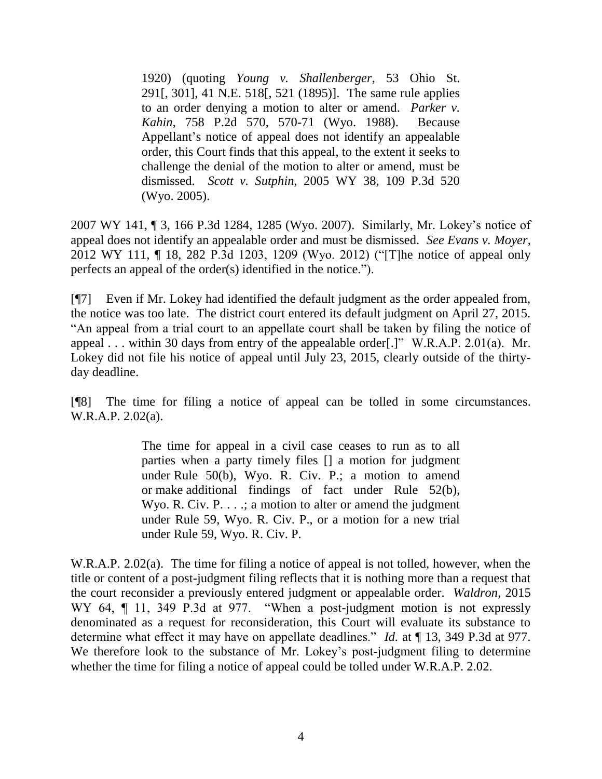1920) (quoting *Young v. Shallenberger*, 53 Ohio St. 291[, 301], 41 N.E. 518[, 521 (1895)]. The same rule applies to an order denying a motion to alter or amend. *Parker v. Kahin*, 758 P.2d 570, 570-71 (Wyo. 1988). Because Appellant's notice of appeal does not identify an appealable order, this Court finds that this appeal, to the extent it seeks to challenge the denial of the motion to alter or amend, must be dismissed. *Scott v. Sutphin*, 2005 WY 38, 109 P.3d 520 (Wyo. 2005).

2007 WY 141, ¶ 3, 166 P.3d 1284, 1285 (Wyo. 2007). Similarly, Mr. Lokey's notice of appeal does not identify an appealable order and must be dismissed. *See Evans v. Moyer*, 2012 WY 111, ¶ 18, 282 P.3d 1203, 1209 (Wyo. 2012) ("[T]he notice of appeal only perfects an appeal of the order(s) identified in the notice.").

[¶7] Even if Mr. Lokey had identified the default judgment as the order appealed from, the notice was too late. The district court entered its default judgment on April 27, 2015. "An appeal from a trial court to an appellate court shall be taken by filing the notice of appeal . . . within 30 days from entry of the appealable order[.]" W.R.A.P. 2.01(a). Mr. Lokey did not file his notice of appeal until July 23, 2015, clearly outside of the thirtyday deadline.

[¶8] The time for filing a notice of appeal can be tolled in some circumstances. W.R.A.P. 2.02(a).

> The time for appeal in a civil case ceases to run as to all parties when a party timely files [] a motion for judgment under Rule 50(b), Wyo. R. Civ. P.; a motion to amend or make additional findings of fact under Rule 52(b), Wyo. R. Civ. P.  $\dots$ ; a motion to alter or amend the judgment under Rule 59, Wyo. R. Civ. P., or a motion for a new trial under Rule 59, Wyo. R. Civ. P.

W.R.A.P. 2.02(a). The time for filing a notice of appeal is not tolled, however, when the title or content of a post-judgment filing reflects that it is nothing more than a request that the court reconsider a previously entered judgment or appealable order. *Waldron*, 2015 WY 64,  $\P$  11, 349 P.3d at 977. "When a post-judgment motion is not expressly denominated as a request for reconsideration, this Court will evaluate its substance to determine what effect it may have on appellate deadlines." *Id.* at  $\P$  13, 349 P.3d at 977. We therefore look to the substance of Mr. Lokey's post-judgment filing to determine whether the time for filing a notice of appeal could be tolled under W.R.A.P. 2.02.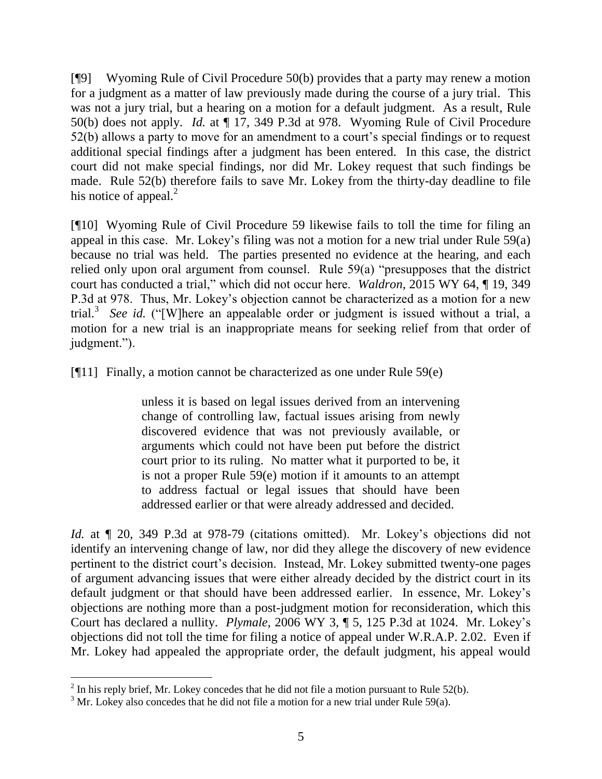[¶9] Wyoming Rule of Civil Procedure 50(b) provides that a party may renew a motion for a judgment as a matter of law previously made during the course of a jury trial. This was not a jury trial, but a hearing on a motion for a default judgment. As a result, Rule 50(b) does not apply. *Id.* at ¶ 17, 349 P.3d at 978. Wyoming Rule of Civil Procedure 52(b) allows a party to move for an amendment to a court's special findings or to request additional special findings after a judgment has been entered. In this case, the district court did not make special findings, nor did Mr. Lokey request that such findings be made. Rule 52(b) therefore fails to save Mr. Lokey from the thirty-day deadline to file his notice of appeal. $^{2}$ 

[¶10] Wyoming Rule of Civil Procedure 59 likewise fails to toll the time for filing an appeal in this case. Mr. Lokey's filing was not a motion for a new trial under Rule 59(a) because no trial was held. The parties presented no evidence at the hearing, and each relied only upon oral argument from counsel. Rule 59(a) "presupposes that the district court has conducted a trial," which did not occur here. *Waldron*, 2015 WY 64, ¶ 19, 349 P.3d at 978. Thus, Mr. Lokey's objection cannot be characterized as a motion for a new trial.<sup>3</sup> *See id.* ("[W]here an appealable order or judgment is issued without a trial, a motion for a new trial is an inappropriate means for seeking relief from that order of judgment.").

[ $[$ [11] Finally, a motion cannot be characterized as one under Rule 59 $(e)$ ]

unless it is based on legal issues derived from an intervening change of controlling law, factual issues arising from newly discovered evidence that was not previously available, or arguments which could not have been put before the district court prior to its ruling. No matter what it purported to be, it is not a proper Rule 59(e) motion if it amounts to an attempt to address factual or legal issues that should have been addressed earlier or that were already addressed and decided.

*Id.* at  $\llbracket$  20, 349 P.3d at 978-79 (citations omitted). Mr. Lokey's objections did not identify an intervening change of law, nor did they allege the discovery of new evidence pertinent to the district court's decision. Instead, Mr. Lokey submitted twenty-one pages of argument advancing issues that were either already decided by the district court in its default judgment or that should have been addressed earlier. In essence, Mr. Lokey's objections are nothing more than a post-judgment motion for reconsideration, which this Court has declared a nullity. *Plymale*, 2006 WY 3, ¶ 5, 125 P.3d at 1024. Mr. Lokey's objections did not toll the time for filing a notice of appeal under W.R.A.P. 2.02. Even if Mr. Lokey had appealed the appropriate order, the default judgment, his appeal would

<sup>&</sup>lt;sup>2</sup> In his reply brief, Mr. Lokey concedes that he did not file a motion pursuant to Rule 52(b).

 $3$  Mr. Lokey also concedes that he did not file a motion for a new trial under Rule 59(a).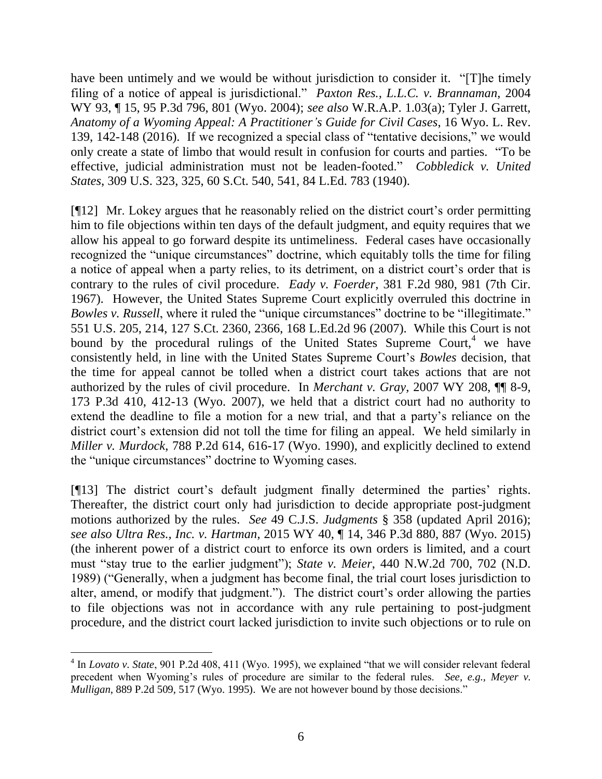have been untimely and we would be without jurisdiction to consider it. "[T]he timely filing of a notice of appeal is jurisdictional." *Paxton Res., L.L.C. v. Brannaman*, 2004 WY 93, ¶ 15, 95 P.3d 796, 801 (Wyo. 2004); *see also* W.R.A.P. 1.03(a); Tyler J. Garrett, *Anatomy of a Wyoming Appeal: A Practitioner's Guide for Civil Cases*, 16 Wyo. L. Rev. 139, 142-148 (2016). If we recognized a special class of "tentative decisions," we would only create a state of limbo that would result in confusion for courts and parties. "To be effective, judicial administration must not be leaden-footed." *Cobbledick v. United States*, 309 U.S. 323, 325, 60 S.Ct. 540, 541, 84 L.Ed. 783 (1940).

[¶12] Mr. Lokey argues that he reasonably relied on the district court's order permitting him to file objections within ten days of the default judgment, and equity requires that we allow his appeal to go forward despite its untimeliness. Federal cases have occasionally recognized the "unique circumstances" doctrine, which equitably tolls the time for filing a notice of appeal when a party relies, to its detriment, on a district court's order that is contrary to the rules of civil procedure. *Eady v. Foerder*, 381 F.2d 980, 981 (7th Cir. 1967). However, the United States Supreme Court explicitly overruled this doctrine in *Bowles v. Russell*, where it ruled the "unique circumstances" doctrine to be "illegitimate." 551 U.S. 205, 214, 127 S.Ct. 2360, 2366, 168 L.Ed.2d 96 (2007). While this Court is not bound by the procedural rulings of the United States Supreme Court,<sup>4</sup> we have consistently held, in line with the United States Supreme Court's *Bowles* decision, that the time for appeal cannot be tolled when a district court takes actions that are not authorized by the rules of civil procedure. In *Merchant v. Gray*, 2007 WY 208, ¶¶ 8-9, 173 P.3d 410, 412-13 (Wyo. 2007), we held that a district court had no authority to extend the deadline to file a motion for a new trial, and that a party's reliance on the district court's extension did not toll the time for filing an appeal. We held similarly in *Miller v. Murdock*, 788 P.2d 614, 616-17 (Wyo. 1990), and explicitly declined to extend the "unique circumstances" doctrine to Wyoming cases.

[¶13] The district court's default judgment finally determined the parties' rights. Thereafter, the district court only had jurisdiction to decide appropriate post-judgment motions authorized by the rules. *See* 49 C.J.S. *Judgments* § 358 (updated April 2016); *see also Ultra Res., Inc. v. Hartman*, 2015 WY 40, ¶ 14, 346 P.3d 880, 887 (Wyo. 2015) (the inherent power of a district court to enforce its own orders is limited, and a court must "stay true to the earlier judgment"); *State v. Meier*, 440 N.W.2d 700, 702 (N.D. 1989) ("Generally, when a judgment has become final, the trial court loses jurisdiction to alter, amend, or modify that judgment."). The district court's order allowing the parties to file objections was not in accordance with any rule pertaining to post-judgment procedure, and the district court lacked jurisdiction to invite such objections or to rule on

<sup>&</sup>lt;sup>4</sup> In *Lovato v. State*, 901 P.2d 408, 411 (Wyo. 1995), we explained "that we will consider relevant federal precedent when Wyoming's rules of procedure are similar to the federal rules. *See, e.g., Meyer v. Mulligan*, 889 P.2d 509, 517 (Wyo. 1995). We are not however bound by those decisions."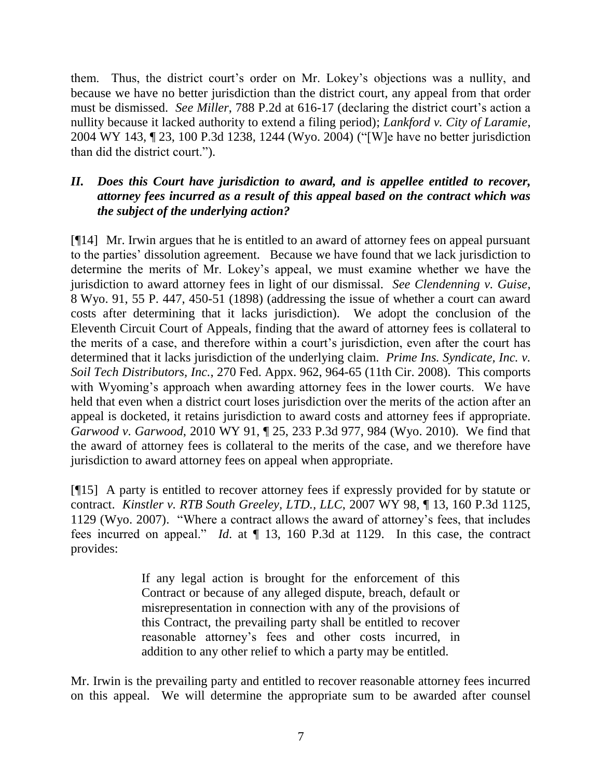them. Thus, the district court's order on Mr. Lokey's objections was a nullity, and because we have no better jurisdiction than the district court, any appeal from that order must be dismissed. *See Miller*, 788 P.2d at 616-17 (declaring the district court's action a nullity because it lacked authority to extend a filing period); *Lankford v. City of Laramie*, 2004 WY 143, ¶ 23, 100 P.3d 1238, 1244 (Wyo. 2004) ("[W]e have no better jurisdiction than did the district court.").

# *II. Does this Court have jurisdiction to award, and is appellee entitled to recover, attorney fees incurred as a result of this appeal based on the contract which was the subject of the underlying action?*

[¶14] Mr. Irwin argues that he is entitled to an award of attorney fees on appeal pursuant to the parties' dissolution agreement. Because we have found that we lack jurisdiction to determine the merits of Mr. Lokey's appeal, we must examine whether we have the jurisdiction to award attorney fees in light of our dismissal. *See Clendenning v. Guise*, 8 Wyo. 91, 55 P. 447, 450-51 (1898) (addressing the issue of whether a court can award costs after determining that it lacks jurisdiction). We adopt the conclusion of the Eleventh Circuit Court of Appeals, finding that the award of attorney fees is collateral to the merits of a case, and therefore within a court's jurisdiction, even after the court has determined that it lacks jurisdiction of the underlying claim. *Prime Ins. Syndicate, Inc. v. Soil Tech Distributors, Inc.*, 270 Fed. Appx. 962, 964-65 (11th Cir. 2008). This comports with Wyoming's approach when awarding attorney fees in the lower courts. We have held that even when a district court loses jurisdiction over the merits of the action after an appeal is docketed, it retains jurisdiction to award costs and attorney fees if appropriate. *Garwood v. Garwood*, 2010 WY 91, ¶ 25, 233 P.3d 977, 984 (Wyo. 2010). We find that the award of attorney fees is collateral to the merits of the case, and we therefore have jurisdiction to award attorney fees on appeal when appropriate.

[¶15] A party is entitled to recover attorney fees if expressly provided for by statute or contract. *Kinstler v. RTB South Greeley, LTD., LLC*, 2007 WY 98, ¶ 13, 160 P.3d 1125, 1129 (Wyo. 2007). "Where a contract allows the award of attorney's fees, that includes fees incurred on appeal." *Id*. at ¶ 13, 160 P.3d at 1129. In this case, the contract provides:

> If any legal action is brought for the enforcement of this Contract or because of any alleged dispute, breach, default or misrepresentation in connection with any of the provisions of this Contract, the prevailing party shall be entitled to recover reasonable attorney's fees and other costs incurred, in addition to any other relief to which a party may be entitled.

Mr. Irwin is the prevailing party and entitled to recover reasonable attorney fees incurred on this appeal. We will determine the appropriate sum to be awarded after counsel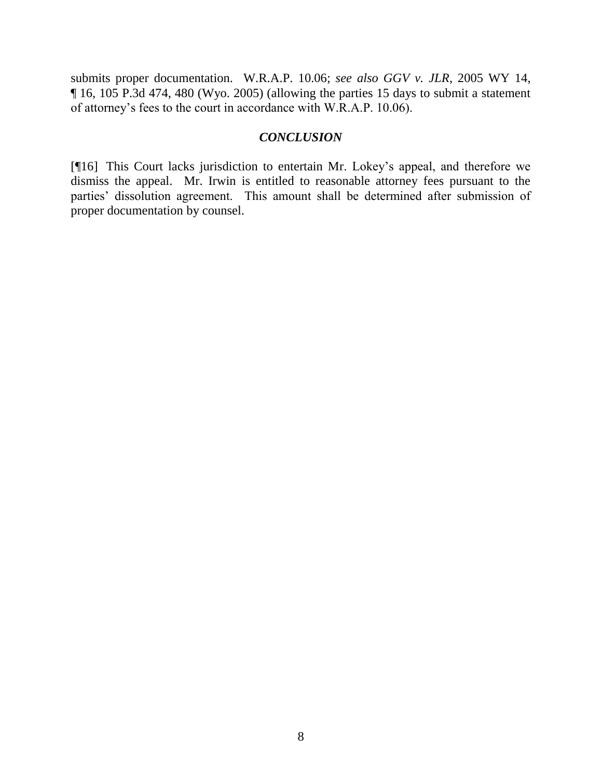submits proper documentation. W.R.A.P. 10.06; *see also GGV v. JLR*, 2005 WY 14, ¶ 16, 105 P.3d 474, 480 (Wyo. 2005) (allowing the parties 15 days to submit a statement of attorney's fees to the court in accordance with W.R.A.P. 10.06).

### *CONCLUSION*

[¶16] This Court lacks jurisdiction to entertain Mr. Lokey's appeal, and therefore we dismiss the appeal. Mr. Irwin is entitled to reasonable attorney fees pursuant to the parties' dissolution agreement. This amount shall be determined after submission of proper documentation by counsel.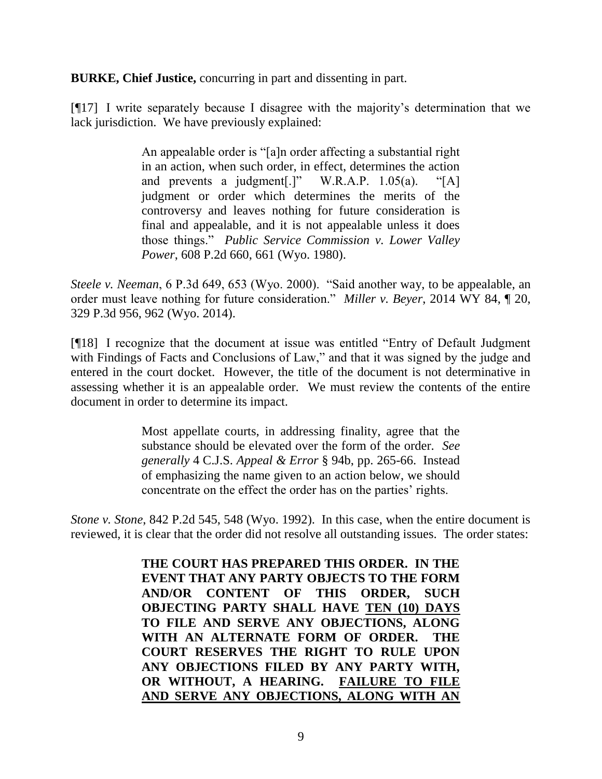**BURKE, Chief Justice,** concurring in part and dissenting in part.

[¶17] I write separately because I disagree with the majority's determination that we lack jurisdiction. We have previously explained:

> An appealable order is "[a]n order affecting a substantial right in an action, when such order, in effect, determines the action and prevents a judgment[.]" W.R.A.P. 1.05(a). "[A] judgment or order which determines the merits of the controversy and leaves nothing for future consideration is final and appealable, and it is not appealable unless it does those things." *Public Service Commission v. Lower Valley Power*, 608 P.2d 660, 661 (Wyo. 1980).

*Steele v. Neeman*, 6 P.3d 649, 653 (Wyo. 2000). "Said another way, to be appealable, an order must leave nothing for future consideration." *Miller v. Beyer*, 2014 WY 84, ¶ 20, 329 P.3d 956, 962 (Wyo. 2014).

[¶18] I recognize that the document at issue was entitled "Entry of Default Judgment with Findings of Facts and Conclusions of Law," and that it was signed by the judge and entered in the court docket. However, the title of the document is not determinative in assessing whether it is an appealable order. We must review the contents of the entire document in order to determine its impact.

> Most appellate courts, in addressing finality, agree that the substance should be elevated over the form of the order. *See generally* 4 C.J.S. *Appeal & Error* § 94b, pp. 265-66. Instead of emphasizing the name given to an action below, we should concentrate on the effect the order has on the parties' rights.

*Stone v. Stone*, 842 P.2d 545, 548 (Wyo. 1992). In this case, when the entire document is reviewed, it is clear that the order did not resolve all outstanding issues. The order states:

> **THE COURT HAS PREPARED THIS ORDER. IN THE EVENT THAT ANY PARTY OBJECTS TO THE FORM AND/OR CONTENT OF THIS ORDER, SUCH OBJECTING PARTY SHALL HAVE TEN (10) DAYS TO FILE AND SERVE ANY OBJECTIONS, ALONG WITH AN ALTERNATE FORM OF ORDER. THE COURT RESERVES THE RIGHT TO RULE UPON ANY OBJECTIONS FILED BY ANY PARTY WITH, OR WITHOUT, A HEARING. FAILURE TO FILE AND SERVE ANY OBJECTIONS, ALONG WITH AN**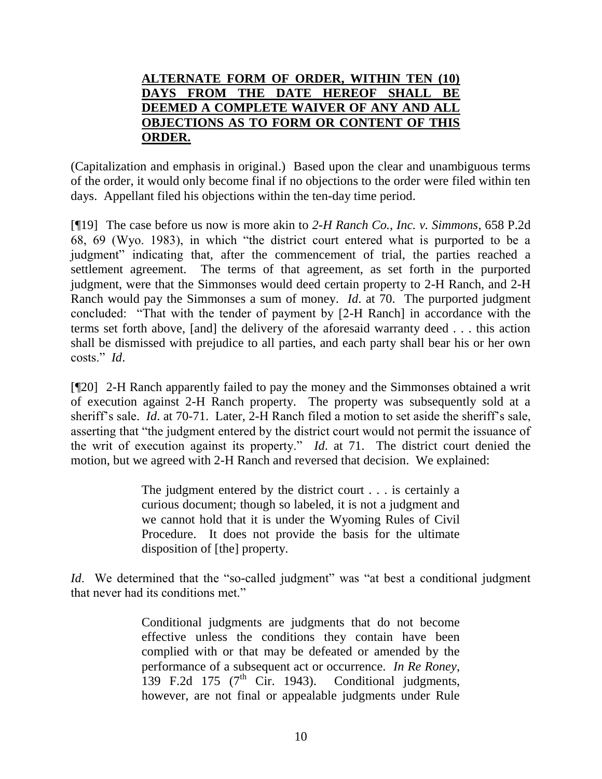# **ALTERNATE FORM OF ORDER, WITHIN TEN (10) DAYS FROM THE DATE HEREOF SHALL BE DEEMED A COMPLETE WAIVER OF ANY AND ALL OBJECTIONS AS TO FORM OR CONTENT OF THIS ORDER.**

(Capitalization and emphasis in original.) Based upon the clear and unambiguous terms of the order, it would only become final if no objections to the order were filed within ten days. Appellant filed his objections within the ten-day time period.

[¶19] The case before us now is more akin to *2-H Ranch Co., Inc. v. Simmons*, 658 P.2d 68, 69 (Wyo. 1983), in which "the district court entered what is purported to be a judgment" indicating that, after the commencement of trial, the parties reached a settlement agreement. The terms of that agreement, as set forth in the purported judgment, were that the Simmonses would deed certain property to 2-H Ranch, and 2-H Ranch would pay the Simmonses a sum of money. *Id*. at 70. The purported judgment concluded: "That with the tender of payment by [2-H Ranch] in accordance with the terms set forth above, [and] the delivery of the aforesaid warranty deed . . . this action shall be dismissed with prejudice to all parties, and each party shall bear his or her own costs." *Id*.

[¶20] 2-H Ranch apparently failed to pay the money and the Simmonses obtained a writ of execution against 2-H Ranch property. The property was subsequently sold at a sheriff's sale. *Id*. at 70-71. Later, 2-H Ranch filed a motion to set aside the sheriff's sale, asserting that "the judgment entered by the district court would not permit the issuance of the writ of execution against its property." *Id*. at 71. The district court denied the motion, but we agreed with 2-H Ranch and reversed that decision. We explained:

> The judgment entered by the district court . . . is certainly a curious document; though so labeled, it is not a judgment and we cannot hold that it is under the Wyoming Rules of Civil Procedure. It does not provide the basis for the ultimate disposition of [the] property.

*Id.* We determined that the "so-called judgment" was "at best a conditional judgment that never had its conditions met."

> Conditional judgments are judgments that do not become effective unless the conditions they contain have been complied with or that may be defeated or amended by the performance of a subsequent act or occurrence. *In Re Roney*, 139 F.2d 175 ( $7<sup>th</sup>$  Cir. 1943). Conditional judgments, however, are not final or appealable judgments under Rule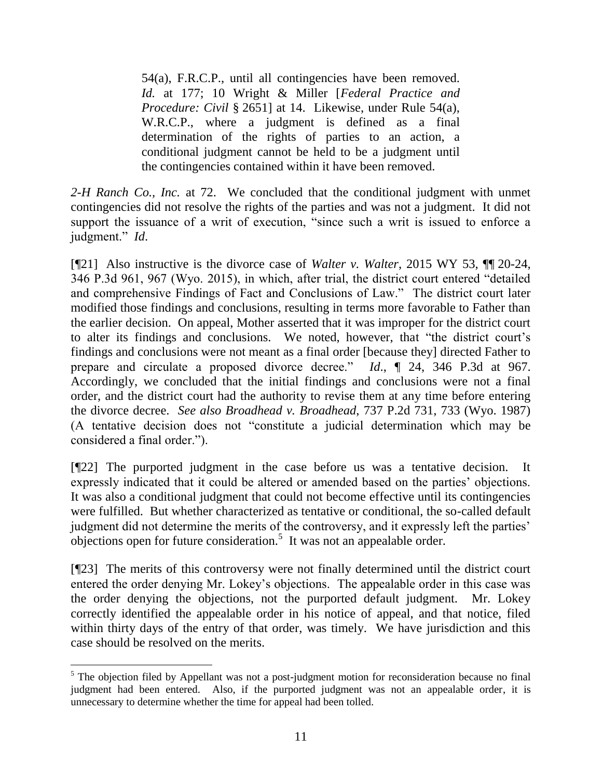54(a), F.R.C.P., until all contingencies have been removed. *Id.* at 177; 10 Wright & Miller [*Federal Practice and Procedure: Civil* § 2651] at 14. Likewise, under Rule 54(a), W.R.C.P., where a judgment is defined as a final determination of the rights of parties to an action, a conditional judgment cannot be held to be a judgment until the contingencies contained within it have been removed.

*2-H Ranch Co., Inc.* at 72. We concluded that the conditional judgment with unmet contingencies did not resolve the rights of the parties and was not a judgment. It did not support the issuance of a writ of execution, "since such a writ is issued to enforce a judgment." *Id*.

[¶21] Also instructive is the divorce case of *Walter v. Walter*, 2015 WY 53, ¶¶ 20-24, 346 P.3d 961, 967 (Wyo. 2015), in which, after trial, the district court entered "detailed and comprehensive Findings of Fact and Conclusions of Law." The district court later modified those findings and conclusions, resulting in terms more favorable to Father than the earlier decision. On appeal, Mother asserted that it was improper for the district court to alter its findings and conclusions. We noted, however, that "the district court's findings and conclusions were not meant as a final order [because they] directed Father to prepare and circulate a proposed divorce decree." *Id*., ¶ 24, 346 P.3d at 967. Accordingly, we concluded that the initial findings and conclusions were not a final order, and the district court had the authority to revise them at any time before entering the divorce decree. *See also Broadhead v. Broadhead*, 737 P.2d 731, 733 (Wyo. 1987) (A tentative decision does not "constitute a judicial determination which may be considered a final order.").

[¶22] The purported judgment in the case before us was a tentative decision. It expressly indicated that it could be altered or amended based on the parties' objections. It was also a conditional judgment that could not become effective until its contingencies were fulfilled. But whether characterized as tentative or conditional, the so-called default judgment did not determine the merits of the controversy, and it expressly left the parties'  $\omega$ bjections open for future consideration.<sup>5</sup> It was not an appealable order.

[¶23] The merits of this controversy were not finally determined until the district court entered the order denying Mr. Lokey's objections. The appealable order in this case was the order denying the objections, not the purported default judgment. Mr. Lokey correctly identified the appealable order in his notice of appeal, and that notice, filed within thirty days of the entry of that order, was timely. We have jurisdiction and this case should be resolved on the merits.

  $<sup>5</sup>$  The objection filed by Appellant was not a post-judgment motion for reconsideration because no final</sup> judgment had been entered. Also, if the purported judgment was not an appealable order, it is unnecessary to determine whether the time for appeal had been tolled.